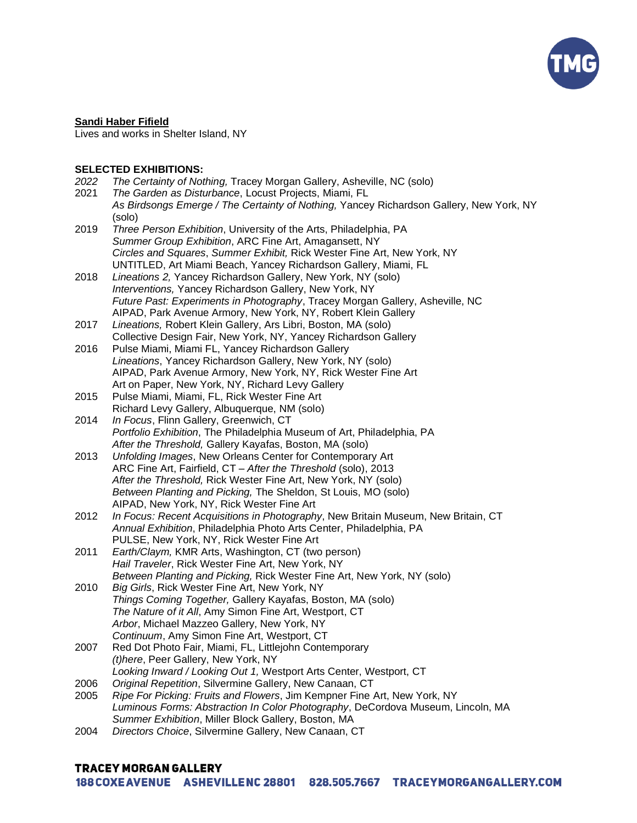

#### **Sandi Haber Fifield**

Lives and works in Shelter Island, NY

## **SELECTED EXHIBITIONS:**

| 2022 | The Certainty of Nothing, Tracey Morgan Gallery, Asheville, NC (solo)                                                                          |
|------|------------------------------------------------------------------------------------------------------------------------------------------------|
| 2021 | The Garden as Disturbance, Locust Projects, Miami, FL                                                                                          |
|      | As Birdsongs Emerge / The Certainty of Nothing, Yancey Richardson Gallery, New York, NY                                                        |
|      | (solo)                                                                                                                                         |
| 2019 | Three Person Exhibition, University of the Arts, Philadelphia, PA                                                                              |
|      | Summer Group Exhibition, ARC Fine Art, Amagansett, NY                                                                                          |
|      | Circles and Squares, Summer Exhibit, Rick Wester Fine Art, New York, NY                                                                        |
|      | UNTITLED, Art Miami Beach, Yancey Richardson Gallery, Miami, FL                                                                                |
| 2018 | Lineations 2, Yancey Richardson Gallery, New York, NY (solo)                                                                                   |
|      | Interventions, Yancey Richardson Gallery, New York, NY                                                                                         |
|      | Future Past: Experiments in Photography, Tracey Morgan Gallery, Asheville, NC<br>AIPAD, Park Avenue Armory, New York, NY, Robert Klein Gallery |
| 2017 |                                                                                                                                                |
|      | Lineations, Robert Klein Gallery, Ars Libri, Boston, MA (solo)                                                                                 |
| 2016 | Collective Design Fair, New York, NY, Yancey Richardson Gallery<br>Pulse Miami, Miami FL, Yancey Richardson Gallery                            |
|      | Lineations, Yancey Richardson Gallery, New York, NY (solo)                                                                                     |
|      | AIPAD, Park Avenue Armory, New York, NY, Rick Wester Fine Art                                                                                  |
|      | Art on Paper, New York, NY, Richard Levy Gallery                                                                                               |
| 2015 | Pulse Miami, Miami, FL, Rick Wester Fine Art                                                                                                   |
|      | Richard Levy Gallery, Albuquerque, NM (solo)                                                                                                   |
| 2014 | In Focus, Flinn Gallery, Greenwich, CT                                                                                                         |
|      | Portfolio Exhibition, The Philadelphia Museum of Art, Philadelphia, PA                                                                         |
|      | After the Threshold, Gallery Kayafas, Boston, MA (solo)                                                                                        |
| 2013 | Unfolding Images, New Orleans Center for Contemporary Art                                                                                      |
|      | ARC Fine Art, Fairfield, CT - After the Threshold (solo), 2013                                                                                 |
|      | After the Threshold, Rick Wester Fine Art, New York, NY (solo)                                                                                 |
|      | Between Planting and Picking, The Sheldon, St Louis, MO (solo)                                                                                 |
|      | AIPAD, New York, NY, Rick Wester Fine Art                                                                                                      |
| 2012 | In Focus: Recent Acquisitions in Photography, New Britain Museum, New Britain, CT                                                              |
|      | Annual Exhibition, Philadelphia Photo Arts Center, Philadelphia, PA                                                                            |
|      | PULSE, New York, NY, Rick Wester Fine Art                                                                                                      |
| 2011 | Earth/Claym, KMR Arts, Washington, CT (two person)                                                                                             |
|      | Hail Traveler, Rick Wester Fine Art, New York, NY                                                                                              |
|      | Between Planting and Picking, Rick Wester Fine Art, New York, NY (solo)                                                                        |
| 2010 | Big Girls, Rick Wester Fine Art, New York, NY                                                                                                  |
|      | Things Coming Together, Gallery Kayafas, Boston, MA (solo)                                                                                     |
|      | The Nature of it All, Amy Simon Fine Art, Westport, CT                                                                                         |
|      | Arbor, Michael Mazzeo Gallery, New York, NY                                                                                                    |
|      | Continuum, Amy Simon Fine Art, Westport, CT                                                                                                    |
| 2007 | Red Dot Photo Fair, Miami, FL, Littlejohn Contemporary                                                                                         |
|      | (t)here, Peer Gallery, New York, NY                                                                                                            |
|      | Looking Inward / Looking Out 1, Westport Arts Center, Westport, CT                                                                             |
| 2006 | Original Repetition, Silvermine Gallery, New Canaan, CT                                                                                        |
| 2005 | Ripe For Picking: Fruits and Flowers, Jim Kempner Fine Art, New York, NY                                                                       |
|      | Luminous Forms: Abstraction In Color Photography, DeCordova Museum, Lincoln, MA                                                                |
|      | Summer Exhibition, Miller Block Gallery, Boston, MA                                                                                            |
| 2004 | Directors Choice, Silvermine Gallery, New Canaan, CT                                                                                           |

# **TRACEY MORGAN GALLERY**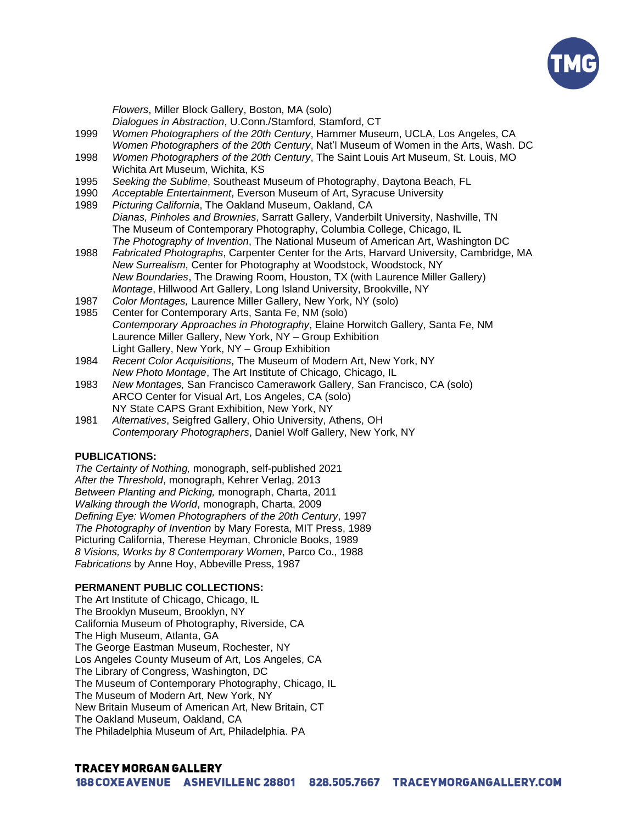

*Flowers*, Miller Block Gallery, Boston, MA (solo) *Dialogues in Abstraction*, U.Conn./Stamford, Stamford, CT 1999 *Women Photographers of the 20th Century*, Hammer Museum, UCLA, Los Angeles, CA *Women Photographers of the 20th Century*, Nat'l Museum of Women in the Arts, Wash. DC 1998 *Women Photographers of the 20th Century*, The Saint Louis Art Museum, St. Louis, MO Wichita Art Museum, Wichita, KS 1995 *Seeking the Sublime*, Southeast Museum of Photography, Daytona Beach, FL 1990 *Acceptable Entertainment*, Everson Museum of Art, Syracuse University 1989 *Picturing California*, The Oakland Museum, Oakland, CA *Dianas, Pinholes and Brownies*, Sarratt Gallery, Vanderbilt University, Nashville, TN The Museum of Contemporary Photography, Columbia College, Chicago, IL *The Photography of Invention*, The National Museum of American Art, Washington DC 1988 *Fabricated Photographs*, Carpenter Center for the Arts, Harvard University, Cambridge, MA *New Surrealism*, Center for Photography at Woodstock, Woodstock, NY *New Boundaries*, The Drawing Room, Houston, TX (with Laurence Miller Gallery) *Montage*, Hillwood Art Gallery, Long Island University, Brookville, NY 1987 *Color Montages,* Laurence Miller Gallery, New York, NY (solo) 1985 Center for Contemporary Arts, Santa Fe, NM (solo) *Contemporary Approaches in Photography*, Elaine Horwitch Gallery, Santa Fe, NM Laurence Miller Gallery, New York, NY – Group Exhibition Light Gallery, New York, NY – Group Exhibition 1984 *Recent Color Acquisitions*, The Museum of Modern Art, New York, NY *New Photo Montage*, The Art Institute of Chicago, Chicago, IL 1983 *New Montages,* San Francisco Camerawork Gallery, San Francisco, CA (solo) ARCO Center for Visual Art, Los Angeles, CA (solo)

NY State CAPS Grant Exhibition, New York, NY 1981 *Alternatives*, Seigfred Gallery, Ohio University, Athens, OH *Contemporary Photographers*, Daniel Wolf Gallery, New York, NY

## **PUBLICATIONS:**

*The Certainty of Nothing,* monograph, self-published 2021 *After the Threshold*, monograph, Kehrer Verlag, 2013 *Between Planting and Picking,* monograph, Charta, 2011 *Walking through the World*, monograph, Charta, 2009 *Defining Eye: Women Photographers of the 20th Century*, 1997 *The Photography of Invention* by Mary Foresta, MIT Press, 1989 Picturing California, Therese Heyman, Chronicle Books, 1989 *8 Visions, Works by 8 Contemporary Women*, Parco Co., 1988 *Fabrications* by Anne Hoy, Abbeville Press, 1987

## **PERMANENT PUBLIC COLLECTIONS:**

The Art Institute of Chicago, Chicago, IL The Brooklyn Museum, Brooklyn, NY California Museum of Photography, Riverside, CA The High Museum, Atlanta, GA The George Eastman Museum, Rochester, NY Los Angeles County Museum of Art, Los Angeles, CA The Library of Congress, Washington, DC The Museum of Contemporary Photography, Chicago, IL The Museum of Modern Art, New York, NY New Britain Museum of American Art, New Britain, CT The Oakland Museum, Oakland, CA The Philadelphia Museum of Art, Philadelphia. PA